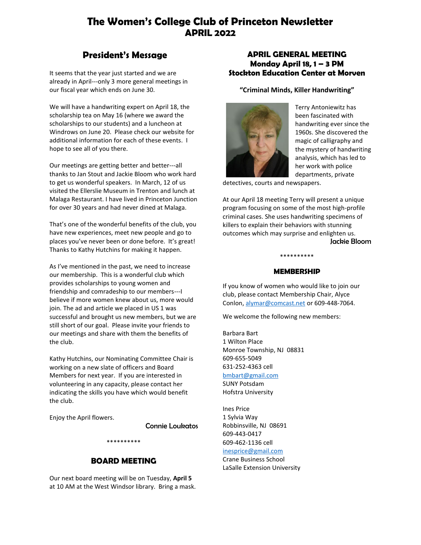# **The Women's College Club of Princeton Newsletter APRIL 2022**

# **President's Message**

It seems that the year just started and we are already in April---only 3 more general meetings in our fiscal year which ends on June 30.

We will have a handwriting expert on April 18, the scholarship tea on May 16 (where we award the scholarships to our students) and a luncheon at Windrows on June 20. Please check our website for additional information for each of these events. I hope to see all of you there.

Our meetings are getting better and better---all thanks to Jan Stout and Jackie Bloom who work hard to get us wonderful speakers. In March, 12 of us visited the Ellerslie Museum in Trenton and lunch at Malaga Restaurant. I have lived in Princeton Junction for over 30 years and had never dined at Malaga.

That's one of the wonderful benefits of the club, you have new experiences, meet new people and go to places you've never been or done before. It's great! Thanks to Kathy Hutchins for making it happen.

As I've mentioned in the past, we need to increase our membership. This is a wonderful club which provides scholarships to young women and friendship and comradeship to our members---I believe if more women knew about us, more would join. The ad and article we placed in US 1 was successful and brought us new members, but we are still short of our goal. Please invite your friends to our meetings and share with them the benefits of the club.

Kathy Hutchins, our Nominating Committee Chair is working on a new slate of officers and Board Members for next year. If you are interested in volunteering in any capacity, please contact her indicating the skills you have which would benefit the club.

Enjoy the April flowers.

Connie Loukatos

# **BOARD MEETING**

\*\*\*\*\*\*\*\*\*\*

Our next board meeting will be on Tuesday, **April 5** at 10 AM at the West Windsor library. Bring a mask.

# **APRIL GENERAL MEETING Monday April 18, 1 – 3 PM Stockton Education Center at Morven**

**"Criminal Minds, Killer Handwriting"**



Terry Antoniewitz has been fascinated with handwriting ever since the 1960s. She discovered the magic of calligraphy and the mystery of handwriting analysis, which has led to her work with police departments, private

detectives, courts and newspapers.

At our April 18 meeting Terry will present a unique program focusing on some of the most high-profile criminal cases. She uses handwriting specimens of killers to explain their behaviors with stunning outcomes which may surprise and enlighten us. Jackie Bloom

# \*\*\*\*\*\*\*\*\*\* **MEMBERSHIP**

If you know of women who would like to join our club, please contact Membership Chair, Alyce Conlon[, alymar@comcast.net](mailto:alymar@comcast.net) or 609-448-7064.

We welcome the following new members:

Barbara Bart 1 Wilton Place Monroe Township, NJ 08831 609-655-5049 631-252-4363 cell [bmbart@gmail.com](mailto:bmbart@gmail.com) SUNY Potsdam Hofstra University

Ines Price 1 Sylvia Way Robbinsville, NJ 08691 609-443-0417 609-462-1136 cell [inesprice@gmail.com](mailto:inesprice@gmail.com) Crane Business School LaSalle Extension University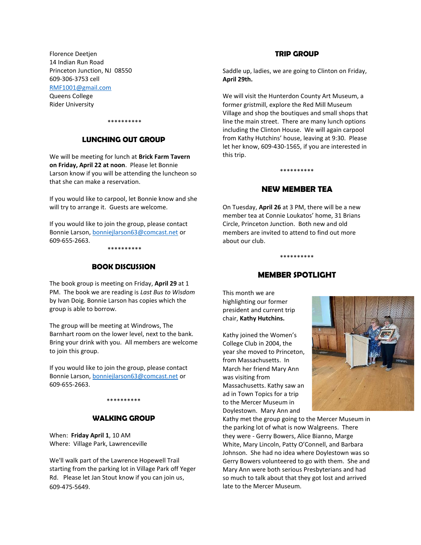Florence Deetjen 14 Indian Run Road Princeton Junction, NJ 08550 609-306-3753 cell [RMF1001@gmail.com](mailto:RMF1001@gmail.com) Queens College Rider University

\*\*\*\*\*\*\*\*\*\*

### **LUNCHING OUT GROUP**

We will be meeting for lunch at **Brick Farm Tavern on Friday, April 22 at noon**. Please let Bonnie Larson know if you will be attending the luncheon so that she can make a reservation.

If you would like to carpool, let Bonnie know and she will try to arrange it. Guests are welcome.

If you would like to join the group, please contact Bonnie Larson[, bonniejlarson63@comcast.net](mailto:bonniejlarson63@comcast.net) or 609-655-2663.

\*\*\*\*\*\*\*\*\*\*

#### **BOOK DISCUSSION**

The book group is meeting on Friday, **April 29** at 1 PM. The book we are reading is *Last Bus to Wisdom* by Ivan Doig. Bonnie Larson has copies which the group is able to borrow.

The group will be meeting at Windrows, The Barnhart room on the lower level, next to the bank. Bring your drink with you. All members are welcome to join this group.

If you would like to join the group, please contact Bonnie Larson[, bonniejlarson63@comcast.net](mailto:bonniejlarson63@comcast.net) or 609-655-2663.

#### \*\*\*\*\*\*\*\*\*\*

#### **WALKING GROUP**

When: **Friday April 1**, 10 AM Where: Village Park, Lawrenceville

We'll walk part of the Lawrence Hopewell Trail starting from the parking lot in Village Park off Yeger Rd. Please let Jan Stout know if you can join us, 609-475-5649.

#### **TRIP GROUP**

Saddle up, ladies, we are going to Clinton on Friday, **April 29th.**

We will visit the Hunterdon County Art Museum, a former gristmill, explore the Red Mill Museum Village and shop the boutiques and small shops that line the main street. There are many lunch options including the Clinton House. We will again carpool from Kathy Hutchins' house, leaving at 9:30. Please let her know, 609-430-1565, if you are interested in this trip.

#### **NEW MEMBER TEA**

\*\*\*\*\*\*\*\*\*\*

On Tuesday, **April 26** at 3 PM, there will be a new member tea at Connie Loukatos' home, 31 Brians Circle, Princeton Junction. Both new and old members are invited to attend to find out more about our club.

### **MEMBER SPOTLIGHT**

\*\*\*\*\*\*\*\*\*\*

This month we are highlighting our former president and current trip chair, **Kathy Hutchins.**

Kathy joined the Women's College Club in 2004, the year she moved to Princeton, from Massachusetts. In March her friend Mary Ann was visiting from Massachusetts. Kathy saw an ad in Town Topics for a trip to the Mercer Museum in Doylestown. Mary Ann and



Kathy met the group going to the Mercer Museum in the parking lot of what is now Walgreens. There they were - Gerry Bowers, Alice Bianno, Marge White, Mary Lincoln, Patty O'Connell, and Barbara Johnson. She had no idea where Doylestown was so Gerry Bowers volunteered to go with them. She and Mary Ann were both serious Presbyterians and had so much to talk about that they got lost and arrived late to the Mercer Museum.